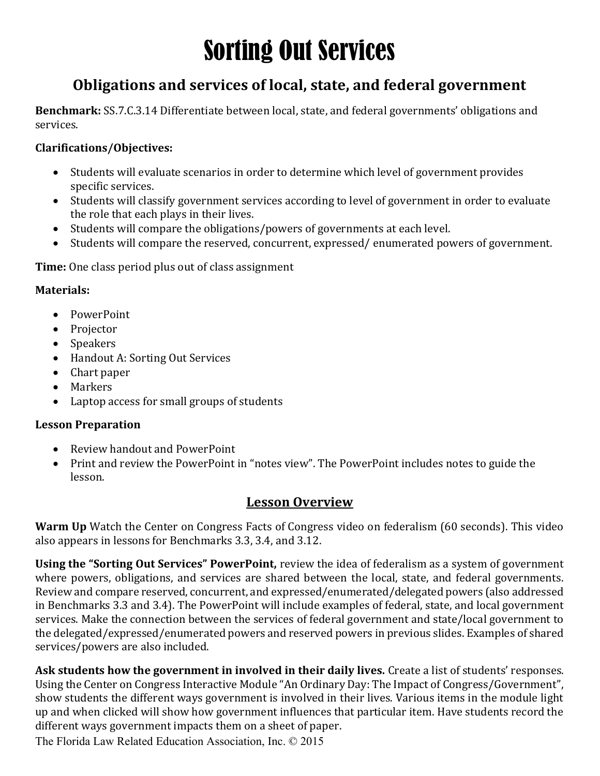# Sorting Out Services

### Obligations and services of local, state, and federal government

Benchmark: SS.7.C.3.14 Differentiate between local, state, and federal governments' obligations and services.

#### Clarifications/Objectives:

- Students will evaluate scenarios in order to determine which level of government provides specific services.
- Students will classify government services according to level of government in order to evaluate the role that each plays in their lives.
- Students will compare the obligations/powers of governments at each level.
- Students will compare the reserved, concurrent, expressed/ enumerated powers of government.

Time: One class period plus out of class assignment

#### Materials:

- PowerPoint
- Projector
- Speakers
- Handout A: Sorting Out Services
- Chart paper
- Markers
- Laptop access for small groups of students

#### Lesson Preparation

- Review handout and PowerPoint
- Print and review the PowerPoint in "notes view". The PowerPoint includes notes to guide the lesson.

#### Lesson Overview

Warm Up Watch the Center on Congress Facts of Congress video on federalism (60 seconds). This video also appears in lessons for Benchmarks 3.3, 3.4, and 3.12.

Using the "Sorting Out Services" PowerPoint, review the idea of federalism as a system of government where powers, obligations, and services are shared between the local, state, and federal governments. Review and compare reserved, concurrent, and expressed/enumerated/delegated powers (also addressed in Benchmarks 3.3 and 3.4). The PowerPoint will include examples of federal, state, and local government services. Make the connection between the services of federal government and state/local government to the delegated/expressed/enumerated powers and reserved powers in previous slides. Examples of shared services/powers are also included.

Ask students how the government in involved in their daily lives. Create a list of students' responses. Using the Center on Congress Interactive Module "An Ordinary Day: The Impact of Congress/Government", show students the different ways government is involved in their lives. Various items in the module light up and when clicked will show how government influences that particular item. Have students record the different ways government impacts them on a sheet of paper.

The Florida Law Related Education Association, Inc. © 2015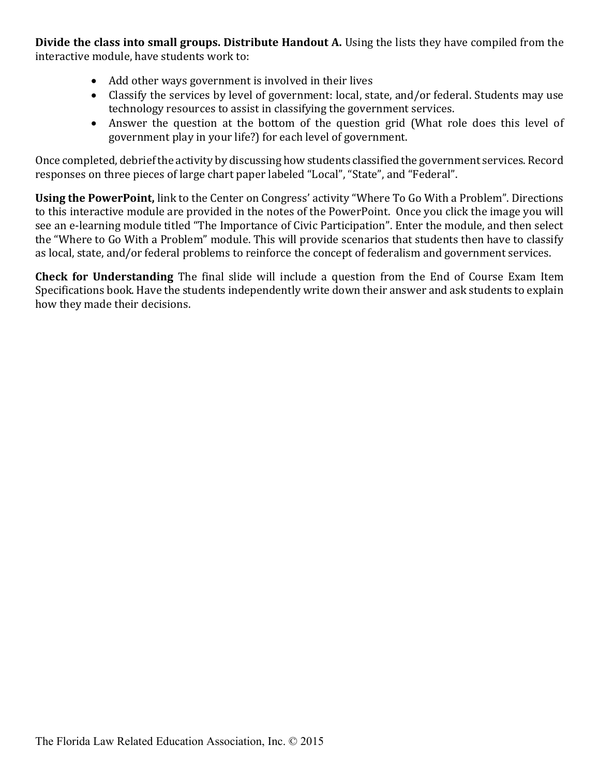Divide the class into small groups. Distribute Handout A. Using the lists they have compiled from the interactive module, have students work to:

- Add other ways government is involved in their lives
- Classify the services by level of government: local, state, and/or federal. Students may use technology resources to assist in classifying the government services.
- Answer the question at the bottom of the question grid (What role does this level of government play in your life?) for each level of government.

Once completed, debrief the activity by discussing how students classified the government services. Record responses on three pieces of large chart paper labeled "Local", "State", and "Federal".

Using the PowerPoint, link to the Center on Congress' activity "Where To Go With a Problem". Directions to this interactive module are provided in the notes of the PowerPoint. Once you click the image you will see an e-learning module titled "The Importance of Civic Participation". Enter the module, and then select the "Where to Go With a Problem" module. This will provide scenarios that students then have to classify as local, state, and/or federal problems to reinforce the concept of federalism and government services.

Check for Understanding The final slide will include a question from the End of Course Exam Item Specifications book. Have the students independently write down their answer and ask students to explain how they made their decisions.